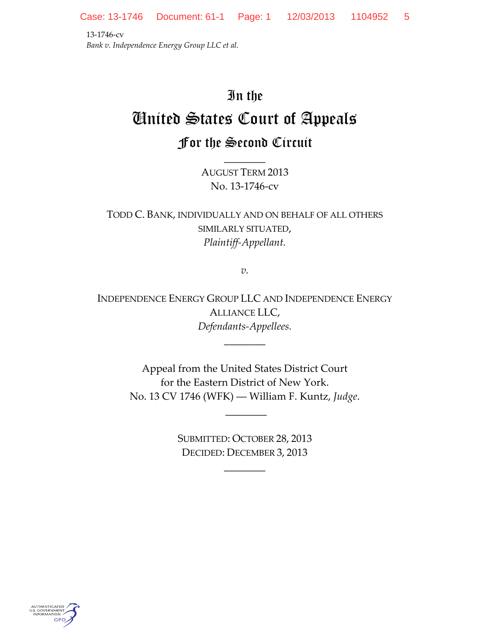13-1746-cv *Bank v. Independence Energy Group LLC et al.*

## In the United States Court of Appeals For the Second Circuit

AUGUST TERM 2013 No. 13-1746-cv

\_\_\_\_\_\_\_\_

TODD C. BANK, INDIVIDUALLY AND ON BEHALF OF ALL OTHERS SIMILARLY SITUATED, *Plaintiff-Appellant.*

*v.*

INDEPENDENCE ENERGY GROUP LLC AND INDEPENDENCE ENERGY ALLIANCE LLC, *Defendants-Appellees.*

\_\_\_\_\_\_\_\_

Appeal from the United States District Court for the Eastern District of New York. No. 13 CV 1746 (WFK) ― William F. Kuntz, *Judge*.

> SUBMITTED: OCTOBER 28, 2013 DECIDED: DECEMBER 3, 2013

> > $\overline{\phantom{a}}$

\_\_\_\_\_\_\_\_

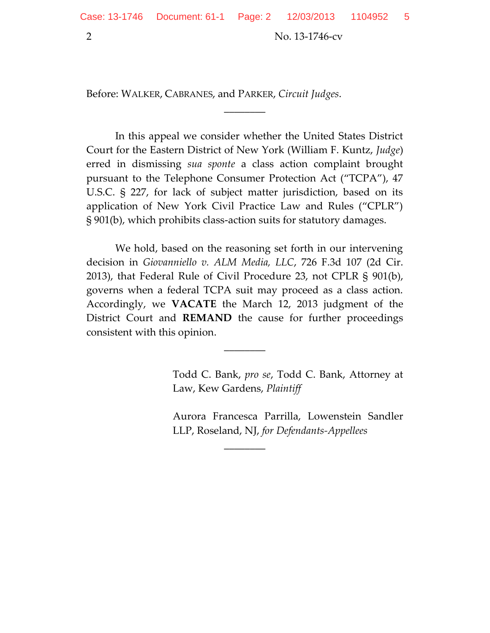2 No. 13-1746-cv

Before: WALKER, CABRANES, and PARKER, *Circuit Judges*.

In this appeal we consider whether the United States District Court for the Eastern District of New York (William F. Kuntz, *Judge*) erred in dismissing *sua sponte* a class action complaint brought pursuant to the Telephone Consumer Protection Act ("TCPA"), 47 U.S.C. § 227, for lack of subject matter jurisdiction, based on its application of New York Civil Practice Law and Rules ("CPLR") § 901(b), which prohibits class-action suits for statutory damages.

 $\overline{\phantom{a}}$ 

We hold, based on the reasoning set forth in our intervening decision in *Giovanniello v. ALM Media, LLC*, 726 F.3d 107 (2d Cir. 2013), that Federal Rule of Civil Procedure 23, not CPLR § 901(b), governs when a federal TCPA suit may proceed as a class action. Accordingly, we **VACATE** the March 12, 2013 judgment of the District Court and **REMAND** the cause for further proceedings consistent with this opinion.

\_\_\_\_\_\_\_\_

\_\_\_\_\_\_\_\_

Todd C. Bank, *pro se*, Todd C. Bank, Attorney at Law, Kew Gardens, *Plaintiff*

Aurora Francesca Parrilla, Lowenstein Sandler LLP, Roseland, NJ, *for Defendants-Appellees*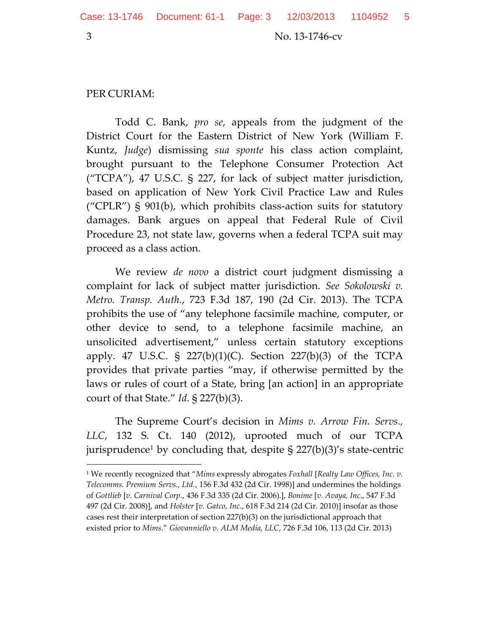$\overline{\phantom{a}}$ 

3 No. 13-1746-cv

## PER CURIAM:

Todd C. Bank, *pro se*, appeals from the judgment of the District Court for the Eastern District of New York (William F. Kuntz, *Judge*) dismissing *sua sponte* his class action complaint, brought pursuant to the Telephone Consumer Protection Act ("TCPA"), 47 U.S.C. § 227, for lack of subject matter jurisdiction, based on application of New York Civil Practice Law and Rules ("CPLR")  $\S$  901(b), which prohibits class-action suits for statutory damages. Bank argues on appeal that Federal Rule of Civil Procedure 23, not state law, governs when a federal TCPA suit may proceed as a class action.

We review *de novo* a district court judgment dismissing a complaint for lack of subject matter jurisdiction. *See Sokolowski v. Metro. Transp. Auth.*, 723 F.3d 187, 190 (2d Cir. 2013). The TCPA prohibits the use of "any telephone facsimile machine, computer, or other device to send, to a telephone facsimile machine, an unsolicited advertisement," unless certain statutory exceptions apply. 47 U.S.C. § 227(b)(1)(C). Section 227(b)(3) of the TCPA provides that private parties "may, if otherwise permitted by the laws or rules of court of a State, bring [an action] in an appropriate court of that State." *Id.* § 227(b)(3).

The Supreme Court's decision in *Mims v. Arrow Fin. Servs., LLC*, 132 S. Ct. 140 (2012), uprooted much of our TCPA jurisprudence<sup>1</sup> by concluding that, despite  $\S$  227(b)(3)'s state-centric

<sup>1</sup> We recently recognized that "*Mims* expressly abrogates *Foxhall* [*Realty Law Offices, Inc. v. Telecomms. Premium Servs., Ltd.*, 156 F.3d 432 (2d Cir. 1998)] and undermines the holdings of *Gottlieb* [*v. Carnival Corp.*, 436 F.3d 335 (2d Cir. 2006).], *Bonime* [*v. Avaya, Inc*., 547 F.3d 497 (2d Cir. 2008)], and *Holster* [*v. Gatco, Inc.*, 618 F.3d 214 (2d Cir. 2010)] insofar as those cases rest their interpretation of section 227(b)(3) on the jurisdictional approach that existed prior to *Mims*." *Giovanniello v. ALM Media, LLC*, 726 F.3d 106, 113 (2d Cir. 2013)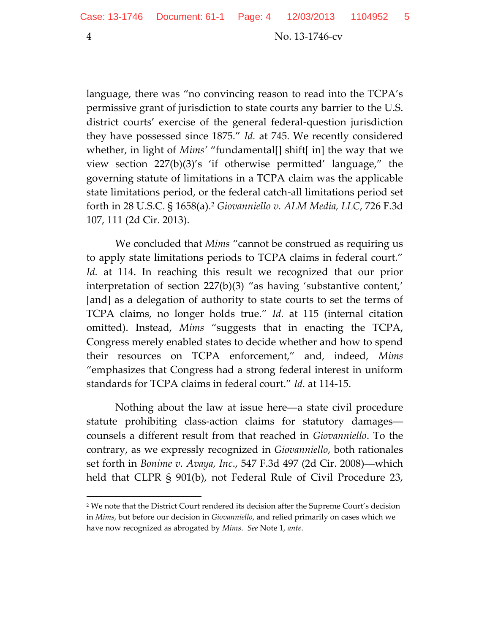language, there was "no convincing reason to read into the TCPA's permissive grant of jurisdiction to state courts any barrier to the U.S. district courts' exercise of the general federal-question jurisdiction they have possessed since 1875." *Id.* at 745. We recently considered whether, in light of *Mims'* "fundamental[] shift[ in] the way that we view section 227(b)(3)'s 'if otherwise permitted' language," the governing statute of limitations in a TCPA claim was the applicable state limitations period, or the federal catch-all limitations period set forth in 28 U.S.C. § 1658(a).<sup>2</sup> *Giovanniello v. ALM Media, LLC*, 726 F.3d 107, 111 (2d Cir. 2013).

We concluded that *Mims* "cannot be construed as requiring us to apply state limitations periods to TCPA claims in federal court." *Id.* at 114. In reaching this result we recognized that our prior interpretation of section 227(b)(3) "as having 'substantive content,' [and] as a delegation of authority to state courts to set the terms of TCPA claims, no longer holds true." *Id.* at 115 (internal citation omitted). Instead, *Mims* "suggests that in enacting the TCPA, Congress merely enabled states to decide whether and how to spend their resources on TCPA enforcement," and, indeed, *Mims*  "emphasizes that Congress had a strong federal interest in uniform standards for TCPA claims in federal court." *Id.* at 114-15.

Nothing about the law at issue here―a state civil procedure statute prohibiting class-action claims for statutory damages― counsels a different result from that reached in *Giovanniello*. To the contrary, as we expressly recognized in *Giovanniello*, both rationales set forth in *Bonime v. Avaya, Inc*., 547 F.3d 497 (2d Cir. 2008)―which held that CLPR § 901(b), not Federal Rule of Civil Procedure 23,

 $\overline{\phantom{a}}$ 

<sup>2</sup> We note that the District Court rendered its decision after the Supreme Court's decision in *Mims*, but before our decision in *Giovanniello*, and relied primarily on cases which we have now recognized as abrogated by *Mims*. *See* Note 1, *ante*.